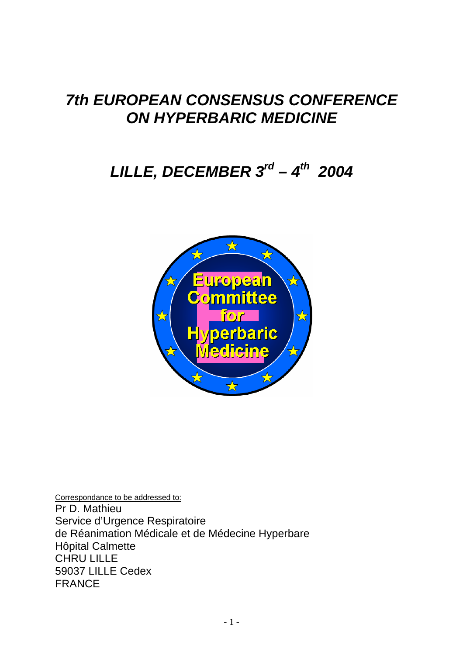## *7th EUROPEAN CONSENSUS CONFERENCE ON HYPERBARIC MEDICINE*

# *LILLE, DECEMBER 3rd – 4th 2004*



Correspondance to be addressed to: Pr D. Mathieu Service d'Urgence Respiratoire de Réanimation Médicale et de Médecine Hyperbare Hôpital Calmette CHRU LILLE 59037 LILLE Cedex FRANCE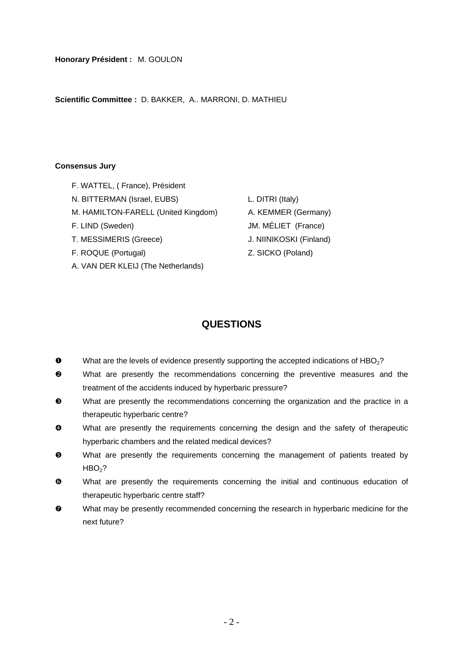**Honorary Président :** M. GOULON

**Scientific Committee :** D. BAKKER, A.. MARRONI, D. MATHIEU

#### **Consensus Jury**

- F. WATTEL, ( France), Président
- N. BITTERMAN (Israel, EUBS) L. DITRI (Italy)
- M. HAMILTON-FARELL (United Kingdom) A. KEMMER (Germany)
- F. LIND (Sweden) JM. MÉLIET (France)
- T. MESSIMERIS (Greece) J. NIINIKOSKI (Finland)
- F. ROQUE (Portugal) **Example 2** SICKO (Poland)
- A. VAN DER KLEIJ (The Netherlands)
- 
- 
- 
- 
- 

## **QUESTIONS**

- $\bullet$  What are the levels of evidence presently supporting the accepted indications of HBO<sub>2</sub>?
- o What are presently the recommendations concerning the preventive measures and the treatment of the accidents induced by hyperbaric pressure?
- p What are presently the recommendations concerning the organization and the practice in a therapeutic hyperbaric centre?
- $\bullet$  What are presently the requirements concerning the design and the safety of therapeutic hyperbaric chambers and the related medical devices?
- $\Theta$  What are presently the requirements concerning the management of patients treated by  $HBO<sub>2</sub>$ ?
- $\bullet$  What are presently the requirements concerning the initial and continuous education of therapeutic hyperbaric centre staff?
- $\bullet$  What may be presently recommended concerning the research in hyperbaric medicine for the next future?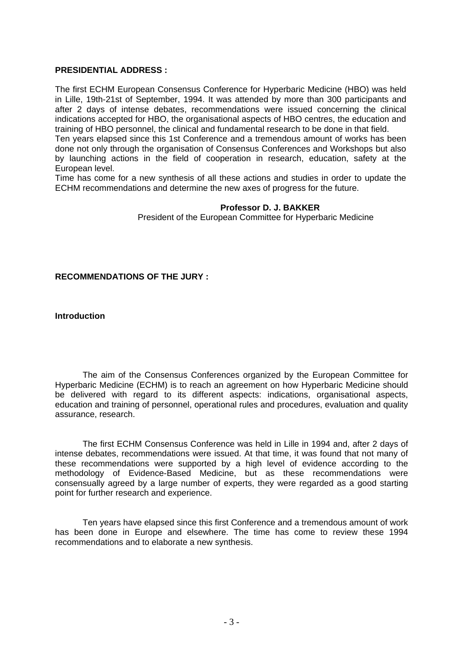## **PRESIDENTIAL ADDRESS :**

The first ECHM European Consensus Conference for Hyperbaric Medicine (HBO) was held in Lille, 19th-21st of September, 1994. It was attended by more than 300 participants and after 2 days of intense debates, recommendations were issued concerning the clinical indications accepted for HBO, the organisational aspects of HBO centres, the education and training of HBO personnel, the clinical and fundamental research to be done in that field.

Ten years elapsed since this 1st Conference and a tremendous amount of works has been done not only through the organisation of Consensus Conferences and Workshops but also by launching actions in the field of cooperation in research, education, safety at the European level.

Time has come for a new synthesis of all these actions and studies in order to update the ECHM recommendations and determine the new axes of progress for the future.

#### **Professor D. J. BAKKER**

President of the European Committee for Hyperbaric Medicine

**RECOMMENDATIONS OF THE JURY :** 

**Introduction** 

 The aim of the Consensus Conferences organized by the European Committee for Hyperbaric Medicine (ECHM) is to reach an agreement on how Hyperbaric Medicine should be delivered with regard to its different aspects: indications, organisational aspects, education and training of personnel, operational rules and procedures, evaluation and quality assurance, research.

 The first ECHM Consensus Conference was held in Lille in 1994 and, after 2 days of intense debates, recommendations were issued. At that time, it was found that not many of these recommendations were supported by a high level of evidence according to the methodology of Evidence-Based Medicine, but as these recommendations were consensually agreed by a large number of experts, they were regarded as a good starting point for further research and experience.

 Ten years have elapsed since this first Conference and a tremendous amount of work has been done in Europe and elsewhere. The time has come to review these 1994 recommendations and to elaborate a new synthesis.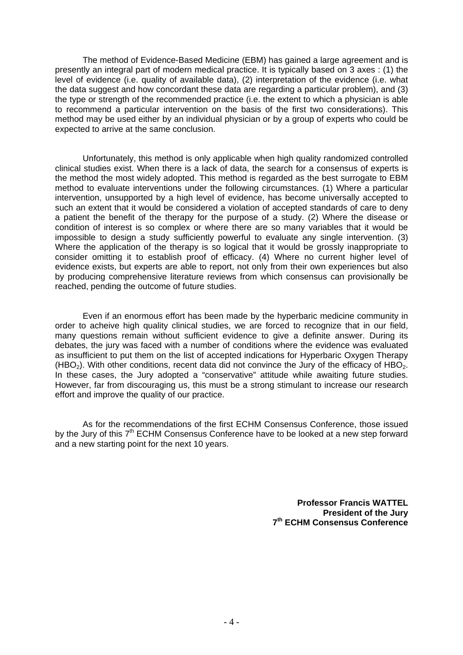The method of Evidence-Based Medicine (EBM) has gained a large agreement and is presently an integral part of modern medical practice. It is typically based on 3 axes : (1) the level of evidence (i.e. quality of available data), (2) interpretation of the evidence (i.e. what the data suggest and how concordant these data are regarding a particular problem), and (3) the type or strength of the recommended practice (i.e. the extent to which a physician is able to recommend a particular intervention on the basis of the first two considerations). This method may be used either by an individual physician or by a group of experts who could be expected to arrive at the same conclusion.

 Unfortunately, this method is only applicable when high quality randomized controlled clinical studies exist. When there is a lack of data, the search for a consensus of experts is the method the most widely adopted. This method is regarded as the best surrogate to EBM method to evaluate interventions under the following circumstances. (1) Where a particular intervention, unsupported by a high level of evidence, has become universally accepted to such an extent that it would be considered a violation of accepted standards of care to deny a patient the benefit of the therapy for the purpose of a study. (2) Where the disease or condition of interest is so complex or where there are so many variables that it would be impossible to design a study sufficiently powerful to evaluate any single intervention. (3) Where the application of the therapy is so logical that it would be grossly inappropriate to consider omitting it to establish proof of efficacy. (4) Where no current higher level of evidence exists, but experts are able to report, not only from their own experiences but also by producing comprehensive literature reviews from which consensus can provisionally be reached, pending the outcome of future studies.

 Even if an enormous effort has been made by the hyperbaric medicine community in order to acheive high quality clinical studies, we are forced to recognize that in our field. many questions remain without sufficient evidence to give a definite answer. During its debates, the jury was faced with a number of conditions where the evidence was evaluated as insufficient to put them on the list of accepted indications for Hyperbaric Oxygen Therapy (HBO<sub>2</sub>). With other conditions, recent data did not convince the Jury of the efficacy of HBO<sub>2</sub>. In these cases, the Jury adopted a "conservative" attitude while awaiting future studies. However, far from discouraging us, this must be a strong stimulant to increase our research effort and improve the quality of our practice.

 As for the recommendations of the first ECHM Consensus Conference, those issued by the Jury of this  $7<sup>th</sup>$  ECHM Consensus Conference have to be looked at a new step forward and a new starting point for the next 10 years.

> **Professor Francis WATTEL President of the Jury 7th ECHM Consensus Conference**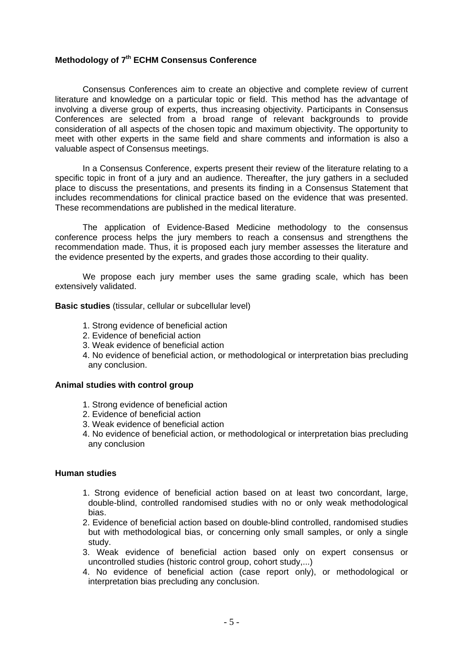#### **Methodology of 7th ECHM Consensus Conference**

 Consensus Conferences aim to create an objective and complete review of current literature and knowledge on a particular topic or field. This method has the advantage of involving a diverse group of experts, thus increasing objectivity. Participants in Consensus Conferences are selected from a broad range of relevant backgrounds to provide consideration of all aspects of the chosen topic and maximum objectivity. The opportunity to meet with other experts in the same field and share comments and information is also a valuable aspect of Consensus meetings.

 In a Consensus Conference, experts present their review of the literature relating to a specific topic in front of a jury and an audience. Thereafter, the jury gathers in a secluded place to discuss the presentations, and presents its finding in a Consensus Statement that includes recommendations for clinical practice based on the evidence that was presented. These recommendations are published in the medical literature.

 The application of Evidence-Based Medicine methodology to the consensus conference process helps the jury members to reach a consensus and strengthens the recommendation made. Thus, it is proposed each jury member assesses the literature and the evidence presented by the experts, and grades those according to their quality.

 We propose each jury member uses the same grading scale, which has been extensively validated.

**Basic studies** (tissular, cellular or subcellular level)

- 1. Strong evidence of beneficial action
- 2. Evidence of beneficial action
- 3. Weak evidence of beneficial action
- 4. No evidence of beneficial action, or methodological or interpretation bias precluding any conclusion.

#### **Animal studies with control group**

- 1. Strong evidence of beneficial action
- 2. Evidence of beneficial action
- 3. Weak evidence of beneficial action
- 4. No evidence of beneficial action, or methodological or interpretation bias precluding any conclusion

#### **Human studies**

- 1. Strong evidence of beneficial action based on at least two concordant, large, double-blind, controlled randomised studies with no or only weak methodological bias.
- 2. Evidence of beneficial action based on double-blind controlled, randomised studies but with methodological bias, or concerning only small samples, or only a single study.
- 3. Weak evidence of beneficial action based only on expert consensus or uncontrolled studies (historic control group, cohort study,...)
- 4. No evidence of beneficial action (case report only), or methodological or interpretation bias precluding any conclusion.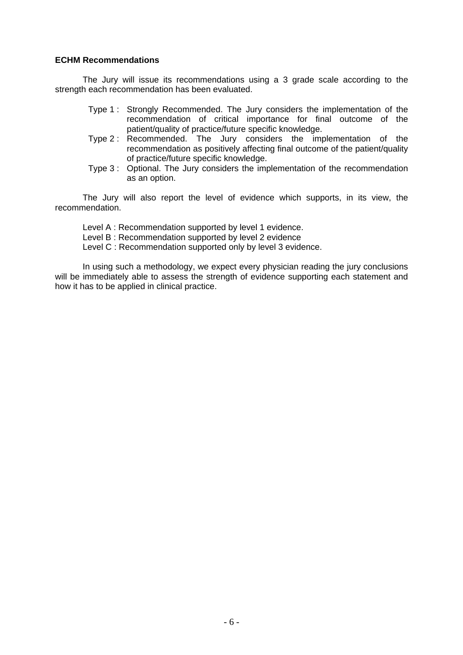#### **ECHM Recommendations**

 The Jury will issue its recommendations using a 3 grade scale according to the strength each recommendation has been evaluated.

- Type 1 : Strongly Recommended. The Jury considers the implementation of the recommendation of critical importance for final outcome of the patient/quality of practice/future specific knowledge.
- Type 2 : Recommended. The Jury considers the implementation of the recommendation as positively affecting final outcome of the patient/quality of practice/future specific knowledge.
- Type 3 : Optional. The Jury considers the implementation of the recommendation as an option.

The Jury will also report the level of evidence which supports, in its view, the recommendation.

Level A : Recommendation supported by level 1 evidence. Level B : Recommendation supported by level 2 evidence Level C : Recommendation supported only by level 3 evidence.

 In using such a methodology, we expect every physician reading the jury conclusions will be immediately able to assess the strength of evidence supporting each statement and how it has to be applied in clinical practice.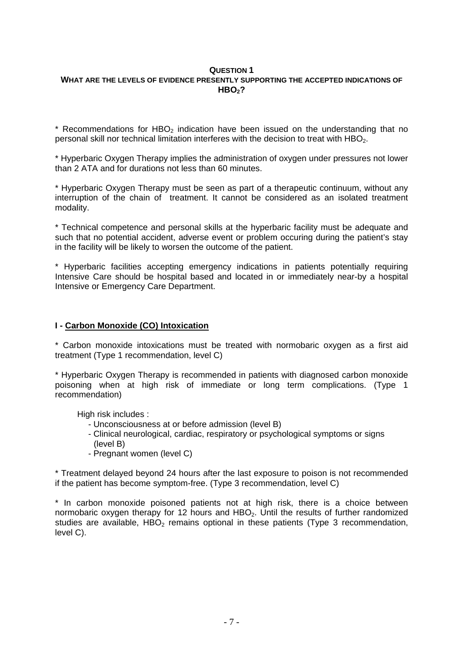#### **QUESTION 1 WHAT ARE THE LEVELS OF EVIDENCE PRESENTLY SUPPORTING THE ACCEPTED INDICATIONS OF HBO<sub>2</sub>?**

 $*$  Recommendations for HBO<sub>2</sub> indication have been issued on the understanding that no personal skill nor technical limitation interferes with the decision to treat with HBO<sub>2</sub>.

\* Hyperbaric Oxygen Therapy implies the administration of oxygen under pressures not lower than 2 ATA and for durations not less than 60 minutes.

\* Hyperbaric Oxygen Therapy must be seen as part of a therapeutic continuum, without any interruption of the chain of treatment. It cannot be considered as an isolated treatment modality.

\* Technical competence and personal skills at the hyperbaric facility must be adequate and such that no potential accident, adverse event or problem occuring during the patient's stay in the facility will be likely to worsen the outcome of the patient.

\* Hyperbaric facilities accepting emergency indications in patients potentially requiring Intensive Care should be hospital based and located in or immediately near-by a hospital Intensive or Emergency Care Department.

## **I - Carbon Monoxide (CO) Intoxication**

\* Carbon monoxide intoxications must be treated with normobaric oxygen as a first aid treatment (Type 1 recommendation, level C)

\* Hyperbaric Oxygen Therapy is recommended in patients with diagnosed carbon monoxide poisoning when at high risk of immediate or long term complications. (Type 1 recommendation)

High risk includes :

- Unconsciousness at or before admission (level B)
- Clinical neurological, cardiac, respiratory or psychological symptoms or signs (level B)
- Pregnant women (level C)

\* Treatment delayed beyond 24 hours after the last exposure to poison is not recommended if the patient has become symptom-free. (Type 3 recommendation, level C)

\* In carbon monoxide poisoned patients not at high risk, there is a choice between normobaric oxygen therapy for 12 hours and  $HBO<sub>2</sub>$ . Until the results of further randomized studies are available,  $HBO<sub>2</sub>$  remains optional in these patients (Type 3 recommendation, level C).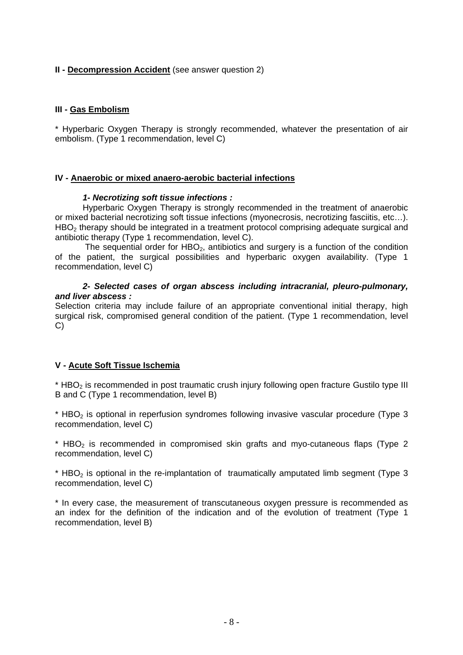## **II - Decompression Accident** (see answer question 2)

## **III - Gas Embolism**

\* Hyperbaric Oxygen Therapy is strongly recommended, whatever the presentation of air embolism. (Type 1 recommendation, level C)

## **IV - Anaerobic or mixed anaero-aerobic bacterial infections**

## *1- Necrotizing soft tissue infections :*

Hyperbaric Oxygen Therapy is strongly recommended in the treatment of anaerobic or mixed bacterial necrotizing soft tissue infections (myonecrosis, necrotizing fasciitis, etc…). HBO<sub>2</sub> therapy should be integrated in a treatment protocol comprising adequate surgical and antibiotic therapy (Type 1 recommendation, level C).

The sequential order for  $HBO<sub>2</sub>$ , antibiotics and surgery is a function of the condition of the patient, the surgical possibilities and hyperbaric oxygen availability. (Type 1 recommendation, level C)

## *2- Selected cases of organ abscess including intracranial, pleuro-pulmonary, and liver abscess :*

Selection criteria may include failure of an appropriate conventional initial therapy, high surgical risk, compromised general condition of the patient. (Type 1 recommendation, level C)

## **V - Acute Soft Tissue Ischemia**

\* HBO<sub>2</sub> is recommended in post traumatic crush injury following open fracture Gustilo type III B and C (Type 1 recommendation, level B)

\* HBO<sub>2</sub> is optional in reperfusion syndromes following invasive vascular procedure (Type 3 recommendation, level C)

 $*$  HBO<sub>2</sub> is recommended in compromised skin grafts and myo-cutaneous flaps (Type 2) recommendation, level C)

 $*$  HBO<sub>2</sub> is optional in the re-implantation of traumatically amputated limb segment (Type 3) recommendation, level C)

\* In every case, the measurement of transcutaneous oxygen pressure is recommended as an index for the definition of the indication and of the evolution of treatment (Type 1 recommendation, level B)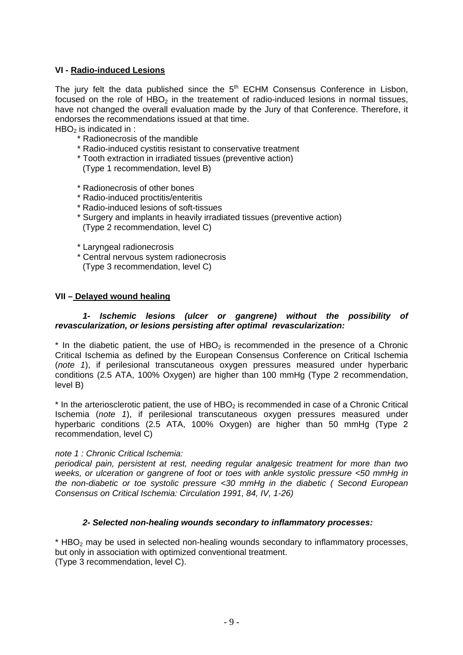## **VI - Radio-induced Lesions**

The jury felt the data published since the  $5<sup>th</sup>$  ECHM Consensus Conference in Lisbon, focused on the role of  $HBO<sub>2</sub>$  in the treatement of radio-induced lesions in normal tissues, have not changed the overall evaluation made by the Jury of that Conference. Therefore, it endorses the recommendations issued at that time.

 $HBO<sub>2</sub>$  is indicated in :

- \* Radionecrosis of the mandible
- \* Radio-induced cystitis resistant to conservative treatment
- \* Tooth extraction in irradiated tissues (preventive action)
	- (Type 1 recommendation, level B)
- \* Radionecrosis of other bones
- \* Radio-induced proctitis/enteritis
- \* Radio-induced lesions of soft-tissues
- \* Surgery and implants in heavily irradiated tissues (preventive action) (Type 2 recommendation, level C)
- \* Laryngeal radionecrosis
- \* Central nervous system radionecrosis (Type 3 recommendation, level C)

## **VII – Delayed wound healing**

#### *1- Ischemic lesions (ulcer or gangrene) without the possibility of revascularization, or lesions persisting after optimal revascularization:*

 $*$  In the diabetic patient, the use of HBO<sub>2</sub> is recommended in the presence of a Chronic Critical Ischemia as defined by the European Consensus Conference on Critical Ischemia (*note 1*), if perilesional transcutaneous oxygen pressures measured under hyperbaric conditions (2.5 ATA, 100% Oxygen) are higher than 100 mmHg (Type 2 recommendation, level B)

 $*$  In the arteriosclerotic patient, the use of HBO<sub>2</sub> is recommended in case of a Chronic Critical Ischemia (*note 1*), if perilesional transcutaneous oxygen pressures measured under hyperbaric conditions (2.5 ATA, 100% Oxygen) are higher than 50 mmHg (Type 2 recommendation, level C)

#### *note 1 : Chronic Critical Ischemia:*

*periodical pain, persistent at rest, needing regular analgesic treatment for more than two weeks, or ulceration or gangrene of foot or toes with ankle systolic pressure <50 mmHg in the non-diabetic or toe systolic pressure <30 mmHg in the diabetic ( Second European Consensus on Critical Ischemia: Circulation 1991, 84, IV, 1-26)* 

## *2- Selected non-healing wounds secondary to inflammatory processes:*

 $*$  HBO<sub>2</sub> may be used in selected non-healing wounds secondary to inflammatory processes, but only in association with optimized conventional treatment. (Type 3 recommendation, level C).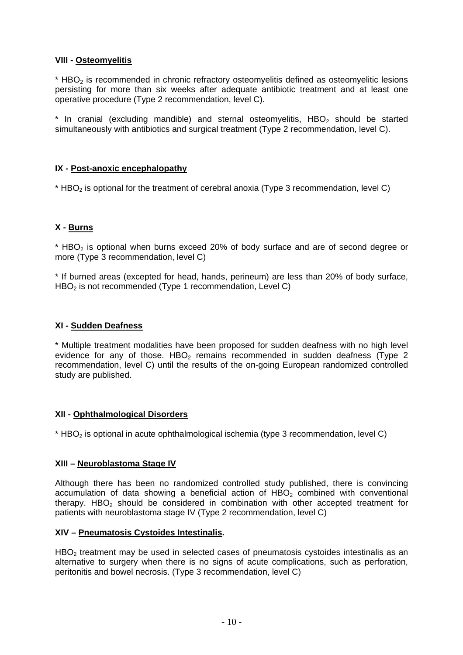## **VIII - Osteomyelitis**

 $*$  HBO<sub>2</sub> is recommended in chronic refractory osteomyelitis defined as osteomyelitic lesions persisting for more than six weeks after adequate antibiotic treatment and at least one operative procedure (Type 2 recommendation, level C).

 $*$  In cranial (excluding mandible) and sternal osteomyelitis, HBO<sub>2</sub> should be started simultaneously with antibiotics and surgical treatment (Type 2 recommendation, level C).

## **IX - Post-anoxic encephalopathy**

 $*$  HBO<sub>2</sub> is optional for the treatment of cerebral anoxia (Type 3 recommendation, level C)

## **X - Burns**

 $*$  HBO<sub>2</sub> is optional when burns exceed 20% of body surface and are of second degree or more (Type 3 recommendation, level C)

\* If burned areas (excepted for head, hands, perineum) are less than 20% of body surface, HBO<sub>2</sub> is not recommended (Type 1 recommendation, Level C)

## **XI - Sudden Deafness**

\* Multiple treatment modalities have been proposed for sudden deafness with no high level evidence for any of those. HBO<sub>2</sub> remains recommended in sudden deafness (Type 2 recommendation, level C) until the results of the on-going European randomized controlled study are published.

## **XII - Ophthalmological Disorders**

 $*$  HBO<sub>2</sub> is optional in acute ophthalmological ischemia (type 3 recommendation, level C)

## **XIII – Neuroblastoma Stage IV**

Although there has been no randomized controlled study published, there is convincing accumulation of data showing a beneficial action of  $HBO<sub>2</sub>$  combined with conventional therapy. HBO<sub>2</sub> should be considered in combination with other accepted treatment for patients with neuroblastoma stage IV (Type 2 recommendation, level C)

## **XIV – Pneumatosis Cystoides Intestinalis.**

 $HBO<sub>2</sub>$  treatment may be used in selected cases of pneumatosis cystoides intestinalis as an alternative to surgery when there is no signs of acute complications, such as perforation, peritonitis and bowel necrosis. (Type 3 recommendation, level C)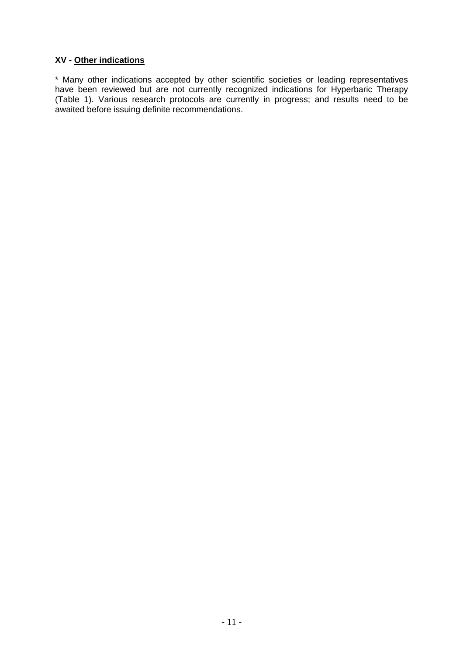## **XV - Other indications**

\* Many other indications accepted by other scientific societies or leading representatives have been reviewed but are not currently recognized indications for Hyperbaric Therapy (Table 1). Various research protocols are currently in progress; and results need to be awaited before issuing definite recommendations.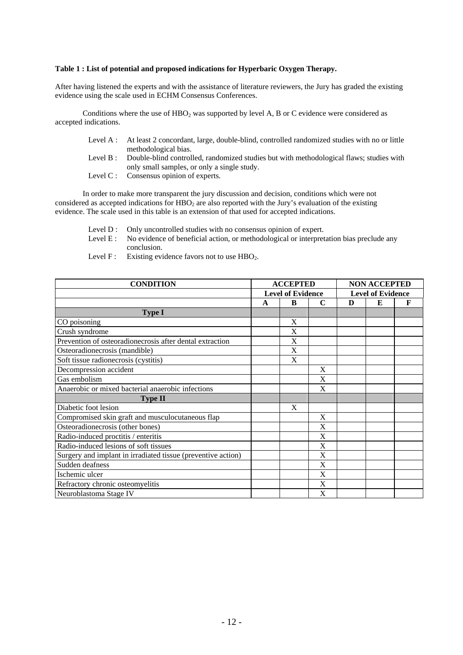#### **Table 1 : List of potential and proposed indications for Hyperbaric Oxygen Therapy.**

After having listened the experts and with the assistance of literature reviewers, the Jury has graded the existing evidence using the scale used in ECHM Consensus Conferences.

Conditions where the use of  $HBO<sub>2</sub>$  was supported by level A, B or C evidence were considered as accepted indications.

- Level A : At least 2 concordant, large, double-blind, controlled randomized studies with no or little methodological bias.
- Level B : Double-blind controlled, randomized studies but with methodological flaws; studies with only small samples, or only a single study.
- Level C : Consensus opinion of experts.

 In order to make more transparent the jury discussion and decision, conditions which were not considered as accepted indications for HBO<sub>2</sub> are also reported with the Jury's evaluation of the existing evidence. The scale used in this table is an extension of that used for accepted indications.

- Level D : Only uncontrolled studies with no consensus opinion of expert.
- Level E : No evidence of beneficial action, or methodological or interpretation bias preclude any conclusion.
- Level F : Existing evidence favors not to use  $HBO<sub>2</sub>$ .

| <b>CONDITION</b>                                             | <b>ACCEPTED</b>          |   |   | <b>NON ACCEPTED</b>      |   |   |
|--------------------------------------------------------------|--------------------------|---|---|--------------------------|---|---|
|                                                              | <b>Level of Evidence</b> |   |   | <b>Level of Evidence</b> |   |   |
|                                                              | A                        | B | C | D                        | E | F |
| <b>Type I</b>                                                |                          |   |   |                          |   |   |
| CO poisoning                                                 |                          | X |   |                          |   |   |
| Crush syndrome                                               |                          | X |   |                          |   |   |
| Prevention of osteoradionecrosis after dental extraction     |                          | X |   |                          |   |   |
| Osteoradionecrosis (mandible)                                |                          | X |   |                          |   |   |
| Soft tissue radionecrosis (cystitis)                         |                          | X |   |                          |   |   |
| Decompression accident                                       |                          |   | X |                          |   |   |
| Gas embolism                                                 |                          |   | X |                          |   |   |
| Anaerobic or mixed bacterial anaerobic infections            |                          |   | X |                          |   |   |
| <b>Type II</b>                                               |                          |   |   |                          |   |   |
| Diabetic foot lesion                                         |                          | X |   |                          |   |   |
| Compromised skin graft and musculocutaneous flap             |                          |   | X |                          |   |   |
| Osteoradionecrosis (other bones)                             |                          |   | X |                          |   |   |
| Radio-induced proctitis / enteritis                          |                          |   | X |                          |   |   |
| Radio-induced lesions of soft tissues                        |                          |   | X |                          |   |   |
| Surgery and implant in irradiated tissue (preventive action) |                          |   | X |                          |   |   |
| Sudden deafness                                              |                          |   | X |                          |   |   |
| Ischemic ulcer                                               |                          |   | X |                          |   |   |
| Refractory chronic osteomyelitis                             |                          |   | X |                          |   |   |
| Neuroblastoma Stage IV                                       |                          |   | X |                          |   |   |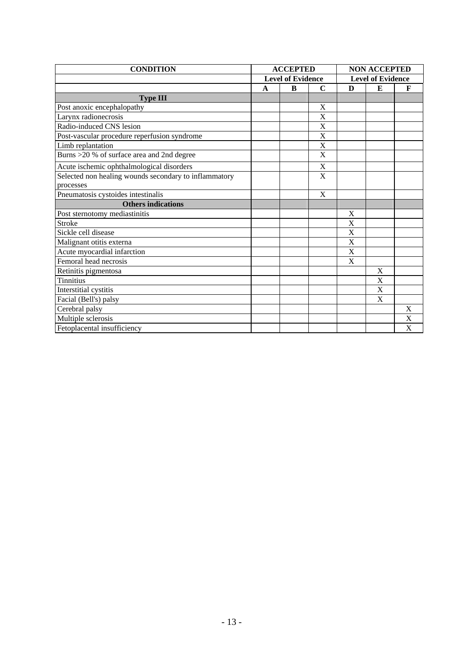| <b>CONDITION</b>                                      | <b>ACCEPTED</b>          |   | <b>NON ACCEPTED</b>      |   |   |                           |
|-------------------------------------------------------|--------------------------|---|--------------------------|---|---|---------------------------|
|                                                       | <b>Level of Evidence</b> |   | <b>Level of Evidence</b> |   |   |                           |
|                                                       | A                        | B | $\mathbf C$              | D | E | F                         |
| <b>Type III</b>                                       |                          |   |                          |   |   |                           |
| Post anoxic encephalopathy                            |                          |   | X                        |   |   |                           |
| Larynx radionecrosis                                  |                          |   | X                        |   |   |                           |
| Radio-induced CNS lesion                              |                          |   | X                        |   |   |                           |
| Post-vascular procedure reperfusion syndrome          |                          |   | X                        |   |   |                           |
| Limb replantation                                     |                          |   | X                        |   |   |                           |
| Burns > 20 % of surface area and 2nd degree           |                          |   | X                        |   |   |                           |
| Acute ischemic ophthalmological disorders             |                          |   | X                        |   |   |                           |
| Selected non healing wounds secondary to inflammatory |                          |   | X                        |   |   |                           |
| processes                                             |                          |   |                          |   |   |                           |
| Pneumatosis cystoides intestinalis                    |                          |   | X                        |   |   |                           |
| <b>Others indications</b>                             |                          |   |                          |   |   |                           |
| Post sternotomy mediastinitis                         |                          |   |                          | X |   |                           |
| <b>Stroke</b>                                         |                          |   |                          | X |   |                           |
| Sickle cell disease                                   |                          |   |                          | X |   |                           |
| Malignant otitis externa                              |                          |   |                          | X |   |                           |
| Acute myocardial infarction                           |                          |   |                          | X |   |                           |
| Femoral head necrosis                                 |                          |   |                          | X |   |                           |
| Retinitis pigmentosa                                  |                          |   |                          |   | X |                           |
| <b>Tinnitius</b>                                      |                          |   |                          |   | X |                           |
| Interstitial cystitis                                 |                          |   |                          |   | X |                           |
| Facial (Bell's) palsy                                 |                          |   |                          |   | X |                           |
| Cerebral palsy                                        |                          |   |                          |   |   | $\mathbf X$               |
| Multiple sclerosis                                    |                          |   |                          |   |   | X                         |
| Fetoplacental insufficiency                           |                          |   |                          |   |   | $\boldsymbol{\mathrm{X}}$ |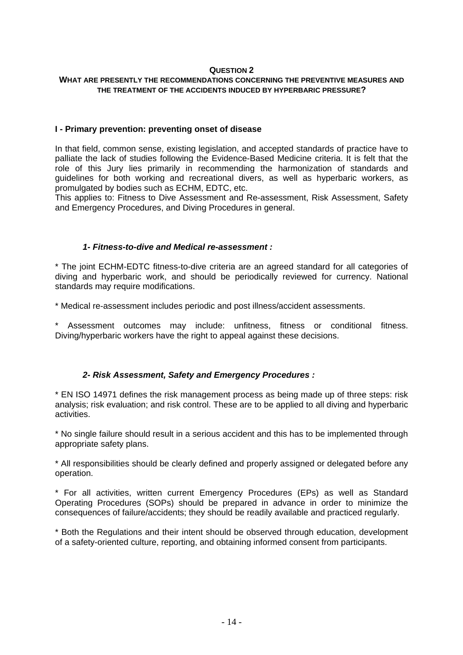## **WHAT ARE PRESENTLY THE RECOMMENDATIONS CONCERNING THE PREVENTIVE MEASURES AND THE TREATMENT OF THE ACCIDENTS INDUCED BY HYPERBARIC PRESSURE?**

#### **I - Primary prevention: preventing onset of disease**

In that field, common sense, existing legislation, and accepted standards of practice have to palliate the lack of studies following the Evidence-Based Medicine criteria. It is felt that the role of this Jury lies primarily in recommending the harmonization of standards and guidelines for both working and recreational divers, as well as hyperbaric workers, as promulgated by bodies such as ECHM, EDTC, etc.

This applies to: Fitness to Dive Assessment and Re-assessment, Risk Assessment, Safety and Emergency Procedures, and Diving Procedures in general.

#### *1- Fitness-to-dive and Medical re-assessment :*

\* The joint ECHM-EDTC fitness-to-dive criteria are an agreed standard for all categories of diving and hyperbaric work, and should be periodically reviewed for currency. National standards may require modifications.

\* Medical re-assessment includes periodic and post illness/accident assessments.

Assessment outcomes may include: unfitness, fitness or conditional fitness. Diving/hyperbaric workers have the right to appeal against these decisions.

## *2- Risk Assessment, Safety and Emergency Procedures :*

\* EN ISO 14971 defines the risk management process as being made up of three steps: risk analysis; risk evaluation; and risk control. These are to be applied to all diving and hyperbaric activities.

\* No single failure should result in a serious accident and this has to be implemented through appropriate safety plans.

\* All responsibilities should be clearly defined and properly assigned or delegated before any operation.

\* For all activities, written current Emergency Procedures (EPs) as well as Standard Operating Procedures (SOPs) should be prepared in advance in order to minimize the consequences of failure/accidents; they should be readily available and practiced regularly.

\* Both the Regulations and their intent should be observed through education, development of a safety-oriented culture, reporting, and obtaining informed consent from participants.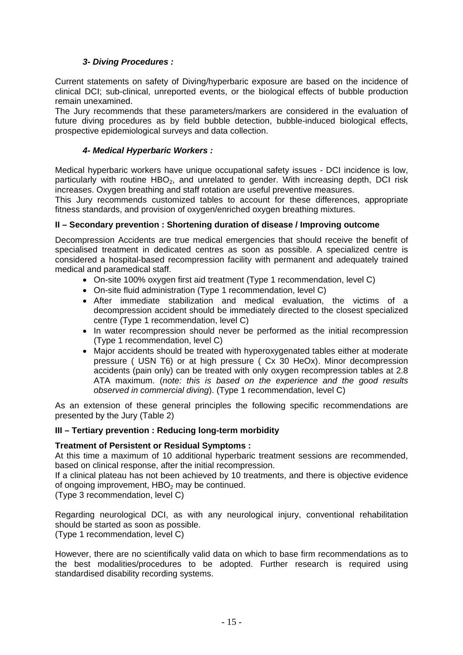## *3- Diving Procedures :*

Current statements on safety of Diving/hyperbaric exposure are based on the incidence of clinical DCI; sub-clinical, unreported events, or the biological effects of bubble production remain unexamined.

The Jury recommends that these parameters/markers are considered in the evaluation of future diving procedures as by field bubble detection, bubble-induced biological effects, prospective epidemiological surveys and data collection.

## *4- Medical Hyperbaric Workers :*

Medical hyperbaric workers have unique occupational safety issues - DCI incidence is low, particularly with routine  $HBO<sub>2</sub>$ , and unrelated to gender. With increasing depth, DCI risk increases. Oxygen breathing and staff rotation are useful preventive measures.

This Jury recommends customized tables to account for these differences, appropriate fitness standards, and provision of oxygen/enriched oxygen breathing mixtures.

## **II – Secondary prevention : Shortening duration of disease / Improving outcome**

Decompression Accidents are true medical emergencies that should receive the benefit of specialised treatment in dedicated centres as soon as possible. A specialized centre is considered a hospital-based recompression facility with permanent and adequately trained medical and paramedical staff.

- On-site 100% oxygen first aid treatment (Type 1 recommendation, level C)
- On-site fluid administration (Type 1 recommendation, level C)
- After immediate stabilization and medical evaluation, the victims of a decompression accident should be immediately directed to the closest specialized centre (Type 1 recommendation, level C)
- In water recompression should never be performed as the initial recompression (Type 1 recommendation, level C)
- Major accidents should be treated with hyperoxygenated tables either at moderate pressure ( USN T6) or at high pressure ( Cx 30 HeOx). Minor decompression accidents (pain only) can be treated with only oxygen recompression tables at 2.8 ATA maximum. (*note: this is based on the experience and the good results observed in commercial diving*). (Type 1 recommendation, level C)

As an extension of these general principles the following specific recommendations are presented by the Jury (Table 2)

## **III – Tertiary prevention : Reducing long-term morbidity**

## **Treatment of Persistent or Residual Symptoms :**

At this time a maximum of 10 additional hyperbaric treatment sessions are recommended, based on clinical response, after the initial recompression.

If a clinical plateau has not been achieved by 10 treatments, and there is objective evidence of ongoing improvement,  $HBO<sub>2</sub>$  may be continued.

(Type 3 recommendation, level C)

Regarding neurological DCI, as with any neurological injury, conventional rehabilitation should be started as soon as possible.

(Type 1 recommendation, level C)

However, there are no scientifically valid data on which to base firm recommendations as to the best modalities/procedures to be adopted. Further research is required using standardised disability recording systems.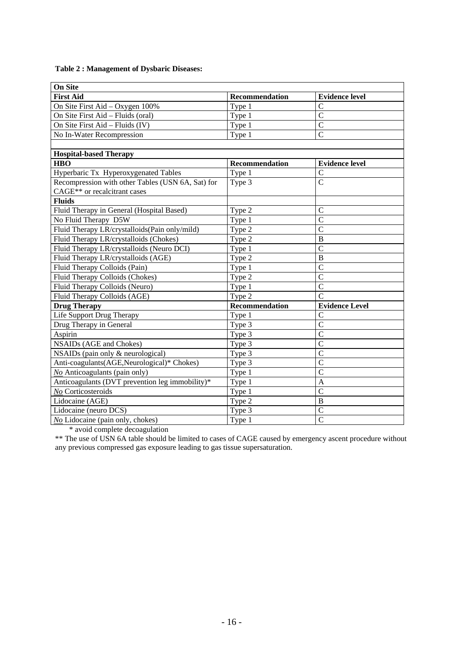#### **Table 2 : Management of Dysbaric Diseases:**

| <b>On Site</b>                                    |                       |                       |  |  |  |  |
|---------------------------------------------------|-----------------------|-----------------------|--|--|--|--|
| <b>First Aid</b>                                  | <b>Recommendation</b> | <b>Evidence level</b> |  |  |  |  |
| On Site First Aid - Oxygen 100%                   | Type 1                | C                     |  |  |  |  |
| On Site First Aid - Fluids (oral)                 | Type 1                | $\overline{C}$        |  |  |  |  |
| On Site First Aid - Fluids (IV)                   | Type 1                | $\overline{C}$        |  |  |  |  |
| No In-Water Recompression                         | Type 1                | $\overline{C}$        |  |  |  |  |
|                                                   |                       |                       |  |  |  |  |
| <b>Hospital-based Therapy</b>                     |                       |                       |  |  |  |  |
| <b>HBO</b>                                        | Recommendation        | <b>Evidence level</b> |  |  |  |  |
| Hyperbaric Tx Hyperoxygenated Tables              | Type 1                | $\mathsf{C}$          |  |  |  |  |
| Recompression with other Tables (USN 6A, Sat) for | Type 3                | $\overline{C}$        |  |  |  |  |
| CAGE** or recalcitrant cases                      |                       |                       |  |  |  |  |
| <b>Fluids</b>                                     |                       |                       |  |  |  |  |
| Fluid Therapy in General (Hospital Based)         | Type 2                | $\mathcal{C}$         |  |  |  |  |
| No Fluid Therapy D5W                              | Type 1                | $\overline{C}$        |  |  |  |  |
| Fluid Therapy LR/crystalloids(Pain only/mild)     | Type 2                | $\overline{C}$        |  |  |  |  |
| Fluid Therapy LR/crystalloids (Chokes)            | Type 2                | $\mathbf B$           |  |  |  |  |
| Fluid Therapy LR/crystalloids (Neuro DCI)         | Type 1                | $\mathcal{C}$         |  |  |  |  |
| Fluid Therapy LR/crystalloids (AGE)               | Type 2                | $\overline{B}$        |  |  |  |  |
| Fluid Therapy Colloids (Pain)                     | Type 1                | $\mathcal{C}$         |  |  |  |  |
| Fluid Therapy Colloids (Chokes)                   | Type 2                | $\overline{C}$        |  |  |  |  |
| Fluid Therapy Colloids (Neuro)                    | Type 1                | $\overline{C}$        |  |  |  |  |
| Fluid Therapy Colloids (AGE)                      | Type 2                | $\overline{C}$        |  |  |  |  |
| <b>Drug Therapy</b>                               | <b>Recommendation</b> | <b>Evidence Level</b> |  |  |  |  |
| Life Support Drug Therapy                         | Type 1                | $\mathcal{C}$         |  |  |  |  |
| Drug Therapy in General                           | Type 3                | $\overline{C}$        |  |  |  |  |
| Aspirin                                           | Type 3                | $\overline{C}$        |  |  |  |  |
| <b>NSAIDs (AGE and Chokes)</b>                    | Type 3                | $\overline{C}$        |  |  |  |  |
| NSAIDs (pain only & neurological)                 | Type 3                | $\overline{C}$        |  |  |  |  |
| Anti-coagulants(AGE, Neurological)* Chokes)       | Type 3                | $\mathcal{C}$         |  |  |  |  |
| No Anticoagulants (pain only)                     | Type 1                | $\overline{C}$        |  |  |  |  |
| Anticoagulants (DVT prevention leg immobility)*   | Type 1                | A                     |  |  |  |  |
| No Corticosteroids                                | Type 1                | $\overline{C}$        |  |  |  |  |
| Lidocaine (AGE)                                   | Type 2                | B                     |  |  |  |  |
| Lidocaine (neuro DCS)                             | Type 3                | $\overline{C}$        |  |  |  |  |
| No Lidocaine (pain only, chokes)                  | Type 1                | $\overline{\rm C}$    |  |  |  |  |

\* avoid complete decoagulation

\*\* The use of USN 6A table should be limited to cases of CAGE caused by emergency ascent procedure without any previous compressed gas exposure leading to gas tissue supersaturation.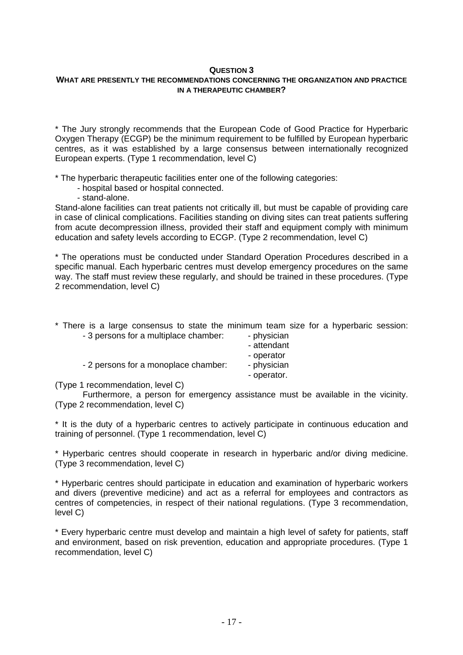## **WHAT ARE PRESENTLY THE RECOMMENDATIONS CONCERNING THE ORGANIZATION AND PRACTICE IN A THERAPEUTIC CHAMBER?**

\* The Jury strongly recommends that the European Code of Good Practice for Hyperbaric Oxygen Therapy (ECGP) be the minimum requirement to be fulfilled by European hyperbaric centres, as it was established by a large consensus between internationally recognized European experts. (Type 1 recommendation, level C)

\* The hyperbaric therapeutic facilities enter one of the following categories:

- hospital based or hospital connected.
- stand-alone.

Stand-alone facilities can treat patients not critically ill, but must be capable of providing care in case of clinical complications. Facilities standing on diving sites can treat patients suffering from acute decompression illness, provided their staff and equipment comply with minimum education and safety levels according to ECGP. (Type 2 recommendation, level C)

\* The operations must be conducted under Standard Operation Procedures described in a specific manual. Each hyperbaric centres must develop emergency procedures on the same way. The staff must review these regularly, and should be trained in these procedures. (Type 2 recommendation, level C)

\* There is a large consensus to state the minimum team size for a hyperbaric session:  $-3$  persons for a multiplace chamber:  $-$  physician

| o persons for a mumplace chamber.    | $-$ privoluciti |
|--------------------------------------|-----------------|
|                                      | - attendant     |
|                                      | - operator      |
| - 2 persons for a monoplace chamber: | - physician     |
|                                      | - operator.     |

(Type 1 recommendation, level C)

Furthermore, a person for emergency assistance must be available in the vicinity. (Type 2 recommendation, level C)

\* It is the duty of a hyperbaric centres to actively participate in continuous education and training of personnel. (Type 1 recommendation, level C)

\* Hyperbaric centres should cooperate in research in hyperbaric and/or diving medicine. (Type 3 recommendation, level C)

\* Hyperbaric centres should participate in education and examination of hyperbaric workers and divers (preventive medicine) and act as a referral for employees and contractors as centres of competencies, in respect of their national regulations. (Type 3 recommendation, level C)

\* Every hyperbaric centre must develop and maintain a high level of safety for patients, staff and environment, based on risk prevention, education and appropriate procedures. (Type 1 recommendation, level C)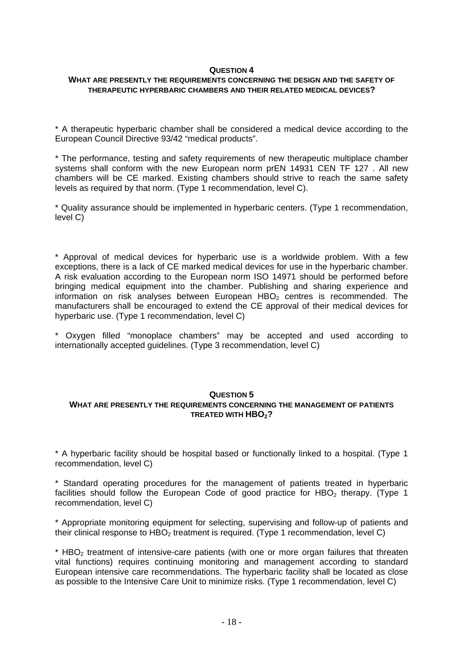#### **WHAT ARE PRESENTLY THE REQUIREMENTS CONCERNING THE DESIGN AND THE SAFETY OF THERAPEUTIC HYPERBARIC CHAMBERS AND THEIR RELATED MEDICAL DEVICES?**

\* A therapeutic hyperbaric chamber shall be considered a medical device according to the European Council Directive 93/42 "medical products".

\* The performance, testing and safety requirements of new therapeutic multiplace chamber systems shall conform with the new European norm prEN 14931 CEN TF 127 . All new chambers will be CE marked. Existing chambers should strive to reach the same safety levels as required by that norm. (Type 1 recommendation, level C).

\* Quality assurance should be implemented in hyperbaric centers. (Type 1 recommendation, level C)

\* Approval of medical devices for hyperbaric use is a worldwide problem. With a few exceptions, there is a lack of CE marked medical devices for use in the hyperbaric chamber. A risk evaluation according to the European norm ISO 14971 should be performed before bringing medical equipment into the chamber. Publishing and sharing experience and information on risk analyses between European HBO $_2$  centres is recommended. The manufacturers shall be encouraged to extend the CE approval of their medical devices for hyperbaric use. (Type 1 recommendation, level C)

\* Oxygen filled "monoplace chambers" may be accepted and used according to internationally accepted guidelines. (Type 3 recommendation, level C)

#### **QUESTION 5**

#### **WHAT ARE PRESENTLY THE REQUIREMENTS CONCERNING THE MANAGEMENT OF PATIENTS TREATED WITH HBO<sub>2</sub>?**

\* A hyperbaric facility should be hospital based or functionally linked to a hospital. (Type 1 recommendation, level C)

\* Standard operating procedures for the management of patients treated in hyperbaric facilities should follow the European Code of good practice for HBO<sub>2</sub> therapy. (Type 1 recommendation, level C)

\* Appropriate monitoring equipment for selecting, supervising and follow-up of patients and their clinical response to  $HBO<sub>2</sub>$  treatment is required. (Type 1 recommendation, level C)

\* HBO<sub>2</sub> treatment of intensive-care patients (with one or more organ failures that threaten vital functions) requires continuing monitoring and management according to standard European intensive care recommendations. The hyperbaric facility shall be located as close as possible to the Intensive Care Unit to minimize risks. (Type 1 recommendation, level C)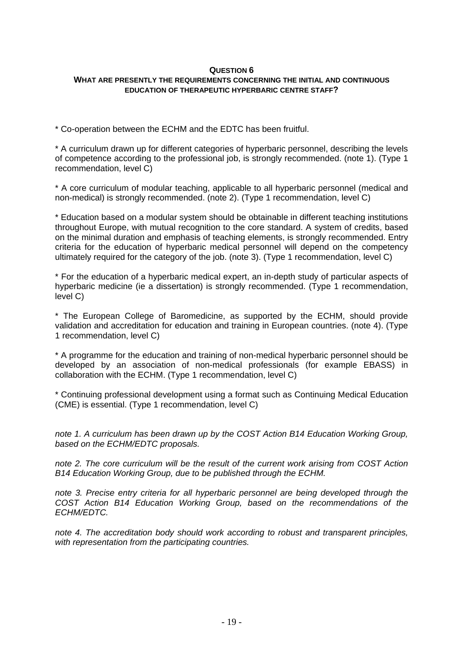#### **QUESTION 6 WHAT ARE PRESENTLY THE REQUIREMENTS CONCERNING THE INITIAL AND CONTINUOUS EDUCATION OF THERAPEUTIC HYPERBARIC CENTRE STAFF?**

\* Co-operation between the ECHM and the EDTC has been fruitful.

\* A curriculum drawn up for different categories of hyperbaric personnel, describing the levels of competence according to the professional job, is strongly recommended. (note 1). (Type 1 recommendation, level C)

\* A core curriculum of modular teaching, applicable to all hyperbaric personnel (medical and non-medical) is strongly recommended. (note 2). (Type 1 recommendation, level C)

\* Education based on a modular system should be obtainable in different teaching institutions throughout Europe, with mutual recognition to the core standard. A system of credits, based on the minimal duration and emphasis of teaching elements, is strongly recommended. Entry criteria for the education of hyperbaric medical personnel will depend on the competency ultimately required for the category of the job. (note 3). (Type 1 recommendation, level C)

\* For the education of a hyperbaric medical expert, an in-depth study of particular aspects of hyperbaric medicine (ie a dissertation) is strongly recommended. (Type 1 recommendation, level C)

\* The European College of Baromedicine, as supported by the ECHM, should provide validation and accreditation for education and training in European countries. (note 4). (Type 1 recommendation, level C)

\* A programme for the education and training of non-medical hyperbaric personnel should be developed by an association of non-medical professionals (for example EBASS) in collaboration with the ECHM. (Type 1 recommendation, level C)

\* Continuing professional development using a format such as Continuing Medical Education (CME) is essential. (Type 1 recommendation, level C)

*note 1. A curriculum has been drawn up by the COST Action B14 Education Working Group, based on the ECHM/EDTC proposals.* 

*note 2. The core curriculum will be the result of the current work arising from COST Action B14 Education Working Group, due to be published through the ECHM.* 

*note 3. Precise entry criteria for all hyperbaric personnel are being developed through the COST Action B14 Education Working Group, based on the recommendations of the ECHM/EDTC.* 

*note 4. The accreditation body should work according to robust and transparent principles, with representation from the participating countries.*